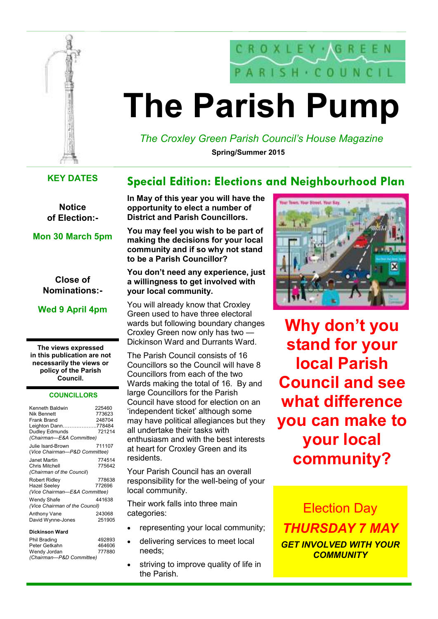



# **The Parish Pump**

*The Croxley Green Parish Council's House Magazine* **Spring/Summer 2015** 

### **KEY DATES**

**Notice of Election:-** 

**Mon 30 March 5pm** 

**Close of Nominations:-** 

**Wed 9 April 4pm** 

**The views expressed in this publication are not necessarily the views or policy of the Parish Council.** 

#### **COUNCILLORS**

| Kenneth Baldwin<br>Nik Bennett<br>Frank Brand<br>Leighton Dann778484<br>Dudley Edmunds<br>(Chairman-E&A Committee) | 225460<br>773623<br>248704<br>721214 |
|--------------------------------------------------------------------------------------------------------------------|--------------------------------------|
| Julie Isard-Brown.<br>(Vice Chairman-P&D Committee)                                                                | 711107                               |
| Janet Martin<br>Chris Mitchell<br>(Chairman of the Council)                                                        | 774514<br>775642                     |
| Robert Ridley<br>Hazel Seelev<br>(Vice Chairman-E&A Committee)                                                     | 778638<br>772696                     |
| <b>Wendy Shafe</b><br>(Vice Chairman of the Council)                                                               | 441638                               |
| Anthony Vane<br>David Wynne-Jones                                                                                  | 243068<br>251905                     |

**Dickinson Ward** 

| 492893                   |
|--------------------------|
| 464606                   |
| 777880                   |
| (Chairman-P&D Committee) |
|                          |

# **Special Edition: Elections and Neighbourhood Plan**

**In May of this year you will have the opportunity to elect a number of District and Parish Councillors.** 

**You may feel you wish to be part of making the decisions for your local community and if so why not stand to be a Parish Councillor?** 

#### **You don't need any experience, just a willingness to get involved with your local community.**

You will already know that Croxley Green used to have three electoral wards but following boundary changes Croxley Green now only has two — Dickinson Ward and Durrants Ward.

The Parish Council consists of 16 Councillors so the Council will have 8 Councillors from each of the two Wards making the total of 16. By and large Councillors for the Parish Council have stood for election on an 'independent ticket' although some may have political allegiances but they all undertake their tasks with enthusiasm and with the best interests at heart for Croxley Green and its residents.

Your Parish Council has an overall responsibility for the well-being of your local community.

Their work falls into three main categories:

- representing your local community;
- delivering services to meet local needs;
- striving to improve quality of life in the Parish.



**Why don't you stand for your local Parish Council and see what difference you can make to your local community?**

Election Day *THURSDAY 7 MAY GET INVOLVED WITH YOUR COMMUNITY*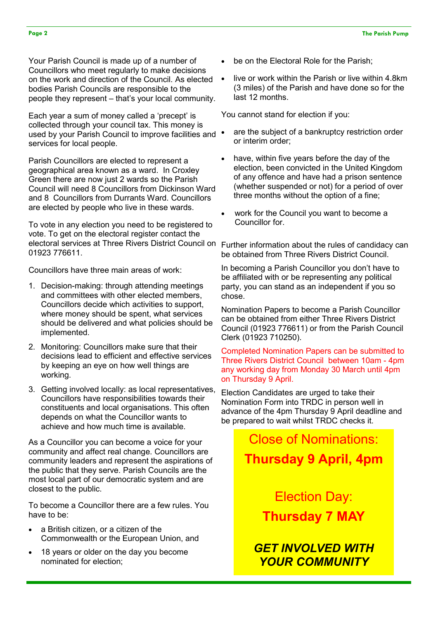Your Parish Council is made up of a number of Councillors who meet regularly to make decisions on the work and direction of the Council. As elected bodies Parish Councils are responsible to the people they represent – that's your local community.

Each year a sum of money called a 'precept' is collected through your council tax. This money is used by your Parish Council to improve facilities and  $\bullet$ services for local people.

Parish Councillors are elected to represent a geographical area known as a ward. In Croxley Green there are now just 2 wards so the Parish Council will need 8 Councillors from Dickinson Ward and 8 Councillors from Durrants Ward. Councillors are elected by people who live in these wards.

To vote in any election you need to be registered to vote. To get on the electoral register contact the electoral services at Three Rivers District Council on Further information about the rules of candidacy can 01923 776611.

Councillors have three main areas of work:

- 1. Decision-making: through attending meetings and committees with other elected members, Councillors decide which activities to support, where money should be spent, what services should be delivered and what policies should be implemented.
- 2. Monitoring: Councillors make sure that their decisions lead to efficient and effective services by keeping an eye on how well things are working.
- 3. Getting involved locally: as local representatives, Councillors have responsibilities towards their constituents and local organisations. This often depends on what the Councillor wants to achieve and how much time is available.

As a Councillor you can become a voice for your community and affect real change. Councillors are community leaders and represent the aspirations of the public that they serve. Parish Councils are the most local part of our democratic system and are closest to the public.

To become a Councillor there are a few rules. You have to be:

- a British citizen, or a citizen of the Commonwealth or the European Union, and
- 18 years or older on the day you become nominated for election;
- be on the Electoral Role for the Parish:
- live or work within the Parish or live within 4.8km (3 miles) of the Parish and have done so for the last 12 months.

You cannot stand for election if you:

- are the subject of a bankruptcy restriction order or interim order;
- have, within five years before the day of the election, been convicted in the United Kingdom of any offence and have had a prison sentence (whether suspended or not) for a period of over three months without the option of a fine;
- work for the Council you want to become a Councillor for.

be obtained from Three Rivers District Council.

In becoming a Parish Councillor you don't have to be affiliated with or be representing any political party, you can stand as an independent if you so chose.

Nomination Papers to become a Parish Councillor can be obtained from either Three Rivers District Council (01923 776611) or from the Parish Council Clerk (01923 710250).

Completed Nomination Papers can be submitted to Three Rivers District Council between 10am - 4pm any working day from Monday 30 March until 4pm on Thursday 9 April.

Election Candidates are urged to take their Nomination Form into TRDC in person well in advance of the 4pm Thursday 9 April deadline and be prepared to wait whilst TRDC checks it.

> Close of Nominations: **Thursday 9 April, 4pm**

> > Election Day: **Thursday 7 MAY**

*GET INVOLVED WITH YOUR COMMUNITY*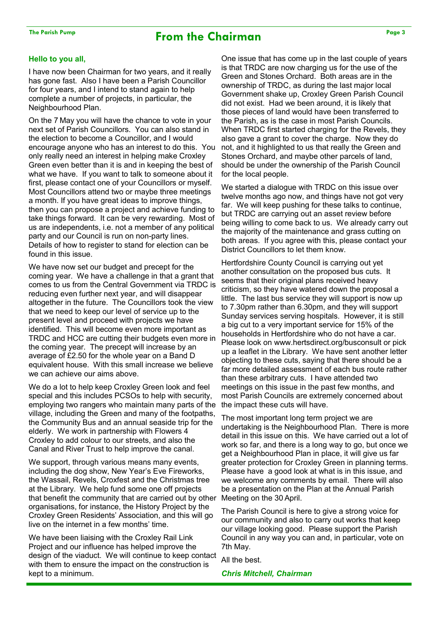# **The Parish Pump Page 3 From the Chairman**

#### **Hello to you all,**

I have now been Chairman for two years, and it really has gone fast. Also I have been a Parish Councillor for four years, and I intend to stand again to help complete a number of projects, in particular, the Neighbourhood Plan.

On the 7 May you will have the chance to vote in your next set of Parish Councillors. You can also stand in the election to become a Councillor, and I would encourage anyone who has an interest to do this. You only really need an interest in helping make Croxley Green even better than it is and in keeping the best of what we have. If you want to talk to someone about it first, please contact one of your Councillors or myself. Most Councillors attend two or maybe three meetings a month. If you have great ideas to improve things, then you can propose a project and achieve funding to take things forward. It can be very rewarding. Most of us are independents, i.e. not a member of any political party and our Council is run on non-party lines. Details of how to register to stand for election can be found in this issue.

We have now set our budget and precept for the coming year. We have a challenge in that a grant that comes to us from the Central Government via TRDC is reducing even further next year, and will disappear altogether in the future. The Councillors took the view that we need to keep our level of service up to the present level and proceed with projects we have identified. This will become even more important as TRDC and HCC are cutting their budgets even more in the coming year. The precept will increase by an average of £2.50 for the whole year on a Band D equivalent house. With this small increase we believe we can achieve our aims above.

We do a lot to help keep Croxley Green look and feel special and this includes PCSOs to help with security, employing two rangers who maintain many parts of the village, including the Green and many of the footpaths, the Community Bus and an annual seaside trip for the elderly. We work in partnership with Flowers 4 Croxley to add colour to our streets, and also the Canal and River Trust to help improve the canal.

We support, through various means many events, including the dog show, New Year's Eve Fireworks, the Wassail, Revels, Croxfest and the Christmas tree at the Library. We help fund some one off projects that benefit the community that are carried out by other organisations, for instance, the History Project by the Croxley Green Residents' Association, and this will go live on the internet in a few months' time.

We have been liaising with the Croxley Rail Link Project and our influence has helped improve the design of the viaduct. We will continue to keep contact with them to ensure the impact on the construction is kept to a minimum.

One issue that has come up in the last couple of years is that TRDC are now charging us for the use of the Green and Stones Orchard. Both areas are in the ownership of TRDC, as during the last major local Government shake up, Croxley Green Parish Council did not exist. Had we been around, it is likely that those pieces of land would have been transferred to the Parish, as is the case in most Parish Councils. When TRDC first started charging for the Revels, they also gave a grant to cover the charge. Now they do not, and it highlighted to us that really the Green and Stones Orchard, and maybe other parcels of land, should be under the ownership of the Parish Council for the local people.

We started a dialogue with TRDC on this issue over twelve months ago now, and things have not got very far. We will keep pushing for these talks to continue, but TRDC are carrying out an asset review before being willing to come back to us. We already carry out the majority of the maintenance and grass cutting on both areas. If you agree with this, please contact your District Councillors to let them know.

Hertfordshire County Council is carrying out yet another consultation on the proposed bus cuts. It seems that their original plans received heavy criticism, so they have watered down the proposal a little. The last bus service they will support is now up to 7.30pm rather than 6.30pm, and they will support Sunday services serving hospitals. However, it is still a big cut to a very important service for 15% of the households in Hertfordshire who do not have a car. Please look on www.hertsdirect.org/busconsult or pick up a leaflet in the Library. We have sent another letter objecting to these cuts, saying that there should be a far more detailed assessment of each bus route rather than these arbitrary cuts. I have attended two meetings on this issue in the past few months, and most Parish Councils are extremely concerned about the impact these cuts will have.

The most important long term project we are undertaking is the Neighbourhood Plan. There is more detail in this issue on this. We have carried out a lot of work so far, and there is a long way to go, but once we get a Neighbourhood Plan in place, it will give us far greater protection for Croxley Green in planning terms. Please have a good look at what is in this issue, and we welcome any comments by email. There will also be a presentation on the Plan at the Annual Parish Meeting on the 30 April.

The Parish Council is here to give a strong voice for our community and also to carry out works that keep our village looking good. Please support the Parish Council in any way you can and, in particular, vote on 7th May.

All the best.

*Chris Mitchell, Chairman*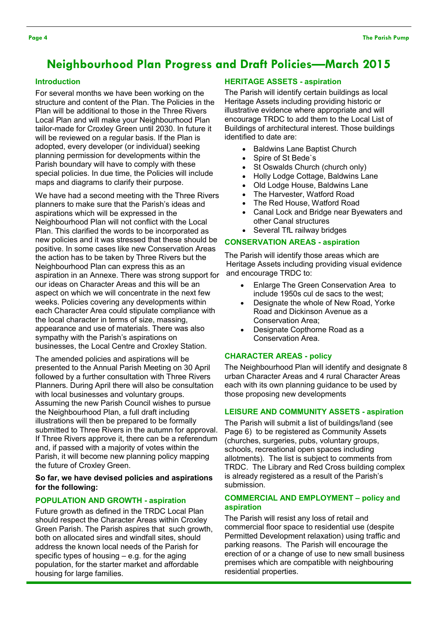## **Neighbourhood Plan Progress and Draft Policies—March 2015**

#### **Introduction**

For several months we have been working on the structure and content of the Plan. The Policies in the Plan will be additional to those in the Three Rivers Local Plan and will make your Neighbourhood Plan tailor-made for Croxley Green until 2030. In future it will be reviewed on a regular basis. If the Plan is adopted, every developer (or individual) seeking planning permission for developments within the Parish boundary will have to comply with these special policies. In due time, the Policies will include maps and diagrams to clarify their purpose.

We have had a second meeting with the Three Rivers planners to make sure that the Parish's ideas and aspirations which will be expressed in the Neighbourhood Plan will not conflict with the Local Plan. This clarified the words to be incorporated as new policies and it was stressed that these should be positive. In some cases like new Conservation Areas the action has to be taken by Three Rivers but the Neighbourhood Plan can express this as an aspiration in an Annexe. There was strong support for our ideas on Character Areas and this will be an aspect on which we will concentrate in the next few weeks. Policies covering any developments within each Character Area could stipulate compliance with the local character in terms of size, massing, appearance and use of materials. There was also sympathy with the Parish's aspirations on businesses, the Local Centre and Croxley Station.

The amended policies and aspirations will be presented to the Annual Parish Meeting on 30 April followed by a further consultation with Three Rivers Planners. During April there will also be consultation with local businesses and voluntary groups. Assuming the new Parish Council wishes to pursue the Neighbourhood Plan, a full draft including illustrations will then be prepared to be formally submitted to Three Rivers in the autumn for approval. If Three Rivers approve it, there can be a referendum and, if passed with a majority of votes within the Parish, it will become new planning policy mapping the future of Croxley Green.

#### **So far, we have devised policies and aspirations for the following:**

#### **POPULATION AND GROWTH - aspiration**

Future growth as defined in the TRDC Local Plan should respect the Character Areas within Croxley Green Parish. The Parish aspires that such growth, both on allocated sires and windfall sites, should address the known local needs of the Parish for specific types of housing – e.g. for the aging population, for the starter market and affordable housing for large families.

#### **HERITAGE ASSETS - aspiration**

The Parish will identify certain buildings as local Heritage Assets including providing historic or illustrative evidence where appropriate and will encourage TRDC to add them to the Local List of Buildings of architectural interest. Those buildings identified to date are:

- Baldwins Lane Baptist Church
- Spire of St Bede`s
- St Oswalds Church (church only)
- Holly Lodge Cottage, Baldwins Lane
- Old Lodge House, Baldwins Lane
- The Harvester, Watford Road
- The Red House, Watford Road
- Canal Lock and Bridge near Byewaters and other Canal structures
- Several TfL railway bridges

#### **CONSERVATION AREAS - aspiration**

The Parish will identify those areas which are Heritage Assets including providing visual evidence and encourage TRDC to:

- Enlarge The Green Conservation Area to include 1950s cul de sacs to the west;
- Designate the whole of New Road, Yorke Road and Dickinson Avenue as a Conservation Area;
- Designate Copthorne Road as a Conservation Area.

#### **CHARACTER AREAS - policy**

The Neighbourhood Plan will identify and designate 8 urban Character Areas and 4 rural Character Areas each with its own planning guidance to be used by those proposing new developments

#### **LEISURE AND COMMUNITY ASSETS - aspiration**

The Parish will submit a list of buildings/land (see Page 6) to be registered as Community Assets (churches, surgeries, pubs, voluntary groups, schools, recreational open spaces including allotments). The list is subject to comments from TRDC. The Library and Red Cross building complex is already registered as a result of the Parish's submission.

#### **COMMERCIAL AND EMPLOYMENT – policy and aspiration**

The Parish will resist any loss of retail and commercial floor space to residential use (despite Permitted Development relaxation) using traffic and parking reasons. The Parish will encourage the erection of or a change of use to new small business premises which are compatible with neighbouring residential properties.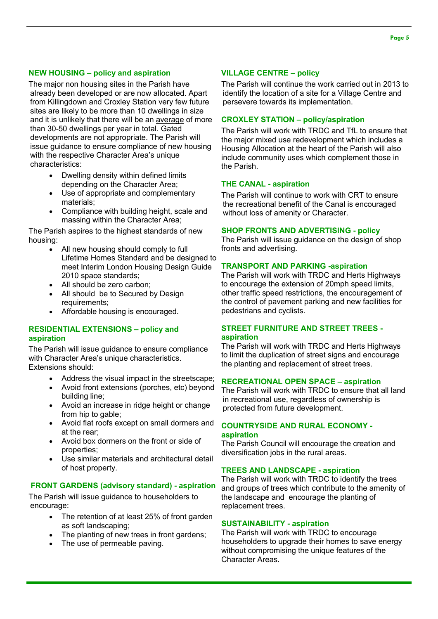#### **Page 5**

#### **NEW HOUSING – policy and aspiration**

The major non housing sites in the Parish have already been developed or are now allocated. Apart from Killingdown and Croxley Station very few future sites are likely to be more than 10 dwellings in size and it is unlikely that there will be an average of more than 30-50 dwellings per year in total. Gated developments are not appropriate. The Parish will issue guidance to ensure compliance of new housing with the respective Character Area's unique characteristics:

- Dwelling density within defined limits depending on the Character Area;
- Use of appropriate and complementary materials;
- Compliance with building height, scale and massing within the Character Area;

The Parish aspires to the highest standards of new housing:

- All new housing should comply to full Lifetime Homes Standard and be designed to meet Interim London Housing Design Guide 2010 space standards;
- All should be zero carbon;
- All should be to Secured by Design requirements;
- Affordable housing is encouraged.

#### **RESIDENTIAL EXTENSIONS – policy and aspiration**

The Parish will issue guidance to ensure compliance with Character Area's unique characteristics. Extensions should:

- Address the visual impact in the streetscape;
- Avoid front extensions (porches, etc) beyond building line;
- Avoid an increase in ridge height or change from hip to gable;
- Avoid flat roofs except on small dormers and at the rear;
- Avoid box dormers on the front or side of properties;
- Use similar materials and architectural detail of host property.

#### **FRONT GARDENS (advisory standard) - aspiration**

The Parish will issue guidance to householders to encourage:

- The retention of at least 25% of front garden as soft landscaping;
- The planting of new trees in front gardens;
- The use of permeable paving.

#### **VILLAGE CENTRE – policy**

The Parish will continue the work carried out in 2013 to identify the location of a site for a Village Centre and persevere towards its implementation.

#### **CROXLEY STATION – policy/aspiration**

The Parish will work with TRDC and TfL to ensure that the major mixed use redevelopment which includes a Housing Allocation at the heart of the Parish will also include community uses which complement those in the Parish.

#### **THE CANAL - aspiration**

The Parish will continue to work with CRT to ensure the recreational benefit of the Canal is encouraged without loss of amenity or Character.

#### **SHOP FRONTS AND ADVERTISING - policy**

The Parish will issue guidance on the design of shop fronts and advertising.

#### **TRANSPORT AND PARKING -aspiration**

The Parish will work with TRDC and Herts Highways to encourage the extension of 20mph speed limits, other traffic speed restrictions, the encouragement of the control of pavement parking and new facilities for pedestrians and cyclists.

#### **STREET FURNITURE AND STREET TREES aspiration**

The Parish will work with TRDC and Herts Highways to limit the duplication of street signs and encourage the planting and replacement of street trees.

#### **RECREATIONAL OPEN SPACE – aspiration**

The Parish will work with TRDC to ensure that all land in recreational use, regardless of ownership is protected from future development.

#### **COUNTRYSIDE AND RURAL ECONOMY aspiration**

The Parish Council will encourage the creation and diversification jobs in the rural areas.

#### **TREES AND LANDSCAPE - aspiration**

The Parish will work with TRDC to identify the trees and groups of trees which contribute to the amenity of the landscape and encourage the planting of replacement trees.

#### **SUSTAINABILITY - aspiration**

The Parish will work with TRDC to encourage householders to upgrade their homes to save energy without compromising the unique features of the Character Areas.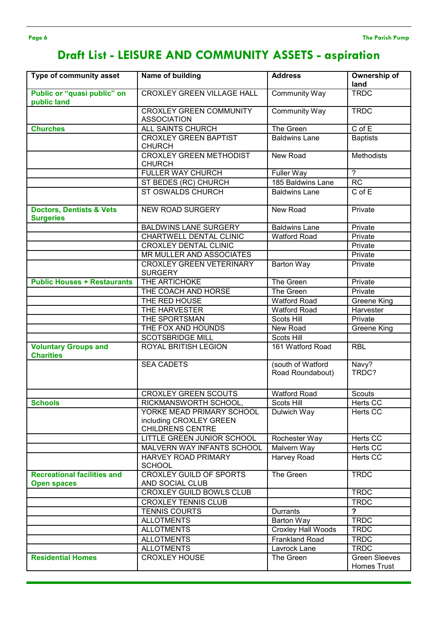# **Draft List - LEISURE AND COMMUNITY ASSETS - aspiration**

| Type of community asset                                  | Name of building                                                                | <b>Address</b>                        | <b>Ownership of</b><br>land                |
|----------------------------------------------------------|---------------------------------------------------------------------------------|---------------------------------------|--------------------------------------------|
| Public or "quasi public" on<br>public land               | <b>CROXLEY GREEN VILLAGE HALL</b>                                               | <b>Community Way</b>                  | <b>TRDC</b>                                |
|                                                          | <b>CROXLEY GREEN COMMUNITY</b><br><b>ASSOCIATION</b>                            | Community Way                         | <b>TRDC</b>                                |
| <b>Churches</b>                                          | <b>ALL SAINTS CHURCH</b>                                                        | The Green                             | $C$ of $E$                                 |
|                                                          | <b>CROXLEY GREEN BAPTIST</b><br><b>CHURCH</b>                                   | <b>Baldwins Lane</b>                  | <b>Baptists</b>                            |
|                                                          | <b>CROXLEY GREEN METHODIST</b><br><b>CHURCH</b>                                 | New Road                              | <b>Methodists</b>                          |
|                                                          | <b>FULLER WAY CHURCH</b>                                                        | <b>Fuller Way</b>                     | $\overline{?}$                             |
|                                                          | ST BEDES (RC) CHURCH                                                            | 185 Baldwins Lane                     | $\overline{RC}$                            |
|                                                          | <b>ST OSWALDS CHURCH</b>                                                        | <b>Baldwins Lane</b>                  | C of E                                     |
| <b>Doctors, Dentists &amp; Vets</b><br><b>Surgeries</b>  | <b>NEW ROAD SURGERY</b>                                                         | New Road                              | Private                                    |
|                                                          | <b>BALDWINS LANE SURGERY</b>                                                    | <b>Baldwins Lane</b>                  | Private                                    |
|                                                          | CHARTWELL DENTAL CLINIC                                                         | <b>Watford Road</b>                   | Private                                    |
|                                                          | <b>CROXLEY DENTAL CLINIC</b>                                                    |                                       | Private                                    |
|                                                          | MR MULLER AND ASSOCIATES                                                        |                                       | Private                                    |
|                                                          | <b>CROXLEY GREEN VETERINARY</b><br><b>SURGERY</b>                               | <b>Barton Way</b>                     | Private                                    |
| <b>Public Houses + Restaurants</b>                       | THE ARTICHOKE                                                                   | The Green                             | Private                                    |
|                                                          | THE COACH AND HORSE                                                             | The Green                             | Private                                    |
|                                                          | THE RED HOUSE                                                                   | <b>Watford Road</b>                   | <b>Greene King</b>                         |
|                                                          | THE HARVESTER                                                                   | <b>Watford Road</b>                   | Harvester                                  |
|                                                          | THE SPORTSMAN                                                                   | <b>Scots Hill</b>                     | Private                                    |
|                                                          | THE FOX AND HOUNDS                                                              | New Road                              | Greene King                                |
|                                                          | <b>SCOTSBRIDGE MILL</b>                                                         | Scots Hill                            |                                            |
| <b>Voluntary Groups and</b><br><b>Charities</b>          | ROYAL BRITISH LEGION                                                            | 161 Watford Road                      | <b>RBL</b>                                 |
|                                                          | <b>SEA CADETS</b>                                                               | (south of Watford<br>Road Roundabout) | Navy?<br>TRDC?                             |
|                                                          | <b>CROXLEY GREEN SCOUTS</b>                                                     | <b>Watford Road</b>                   | Scouts                                     |
| <b>Schools</b>                                           | RICKMANSWORTH SCHOOL,                                                           | Scots Hill                            | Herts CC                                   |
|                                                          | YORKE MEAD PRIMARY SCHOOL<br>including CROXLEY GREEN<br><b>CHILDRENS CENTRE</b> | Dulwich Way                           | Herts CC                                   |
|                                                          | LITTLE GREEN JUNIOR SCHOOL                                                      | Rochester Way                         | Herts CC                                   |
|                                                          | MALVERN WAY INFANTS SCHOOL                                                      | Malvern Way                           | Herts CC                                   |
|                                                          | <b>HARVEY ROAD PRIMARY</b><br><b>SCHOOL</b>                                     | Harvey Road                           | Herts CC                                   |
| <b>Recreational facilities and</b><br><b>Open spaces</b> | <b>CROXLEY GUILD OF SPORTS</b><br>AND SOCIAL CLUB                               | The Green                             | <b>TRDC</b>                                |
|                                                          | <b>CROXLEY GUILD BOWLS CLUB</b>                                                 |                                       | <b>TRDC</b>                                |
|                                                          | <b>CROXLEY TENNIS CLUB</b>                                                      |                                       | <b>TRDC</b>                                |
|                                                          | <b>TENNIS COURTS</b>                                                            | Durrants                              | $\overline{\mathbf{?}}$                    |
|                                                          | <b>ALLOTMENTS</b>                                                               | Barton Way                            | <b>TRDC</b>                                |
|                                                          | <b>ALLOTMENTS</b>                                                               | <b>Croxley Hall Woods</b>             | <b>TRDC</b>                                |
|                                                          | <b>ALLOTMENTS</b>                                                               | <b>Frankland Road</b>                 | <b>TRDC</b>                                |
|                                                          | <b>ALLOTMENTS</b>                                                               | Lavrock Lane                          | <b>TRDC</b>                                |
| <b>Residential Homes</b>                                 | <b>CROXLEY HOUSE</b>                                                            | The Green                             | <b>Green Sleeves</b><br><b>Homes Trust</b> |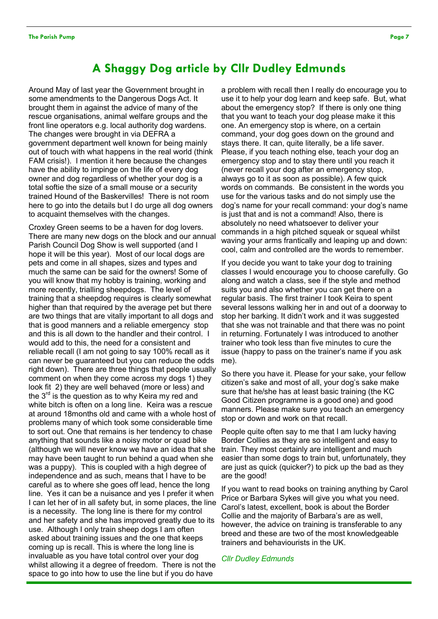## **A Shaggy Dog article by Cllr Dudley Edmunds**

Around May of last year the Government brought in some amendments to the Dangerous Dogs Act. It brought them in against the advice of many of the rescue organisations, animal welfare groups and the front line operators e.g. local authority dog wardens. The changes were brought in via DEFRA a government department well known for being mainly out of touch with what happens in the real world (think FAM crisis!). I mention it here because the changes have the ability to impinge on the life of every dog owner and dog regardless of whether your dog is a total softie the size of a small mouse or a security trained Hound of the Baskervilles! There is not room here to go into the details but I do urge all dog owners to acquaint themselves with the changes.

Croxley Green seems to be a haven for dog lovers. There are many new dogs on the block and our annual Parish Council Dog Show is well supported (and I hope it will be this year). Most of our local dogs are pets and come in all shapes, sizes and types and much the same can be said for the owners! Some of you will know that my hobby is training, working and more recently, trialling sheepdogs. The level of training that a sheepdog requires is clearly somewhat higher than that required by the average pet but there are two things that are vitally important to all dogs and that is good manners and a reliable emergency stop and this is all down to the handler and their control. I would add to this, the need for a consistent and reliable recall (I am not going to say 100% recall as it can never be guaranteed but you can reduce the odds right down). There are three things that people usually comment on when they come across my dogs 1) they look fit 2) they are well behaved (more or less) and the  $3<sup>rd</sup>$  is the question as to why Keira my red and white bitch is often on a long line. Keira was a rescue at around 18months old and came with a whole host of problems many of which took some considerable time to sort out. One that remains is her tendency to chase anything that sounds like a noisy motor or quad bike (although we will never know we have an idea that she may have been taught to run behind a quad when she was a puppy). This is coupled with a high degree of independence and as such, means that I have to be careful as to where she goes off lead, hence the long line. Yes it can be a nuisance and yes I prefer it when I can let her of in all safety but, in some places, the line is a necessity. The long line is there for my control and her safety and she has improved greatly due to its use. Although I only train sheep dogs I am often asked about training issues and the one that keeps coming up is recall. This is where the long line is invaluable as you have total control over your dog whilst allowing it a degree of freedom. There is not the space to go into how to use the line but if you do have

a problem with recall then I really do encourage you to use it to help your dog learn and keep safe. But, what about the emergency stop? If there is only one thing that you want to teach your dog please make it this one. An emergency stop is where, on a certain command, your dog goes down on the ground and stays there. It can, quite literally, be a life saver. Please, if you teach nothing else, teach your dog an emergency stop and to stay there until you reach it (never recall your dog after an emergency stop, always go to it as soon as possible). A few quick words on commands. Be consistent in the words you use for the various tasks and do not simply use the dog's name for your recall command: your dog's name is just that and is not a command! Also, there is absolutely no need whatsoever to deliver your commands in a high pitched squeak or squeal whilst waving your arms frantically and leaping up and down: cool, calm and controlled are the words to remember.

If you decide you want to take your dog to training classes I would encourage you to choose carefully. Go along and watch a class, see if the style and method suits you and also whether you can get there on a regular basis. The first trainer I took Keira to spent several lessons walking her in and out of a doorway to stop her barking. It didn't work and it was suggested that she was not trainable and that there was no point in returning. Fortunately I was introduced to another trainer who took less than five minutes to cure the issue (happy to pass on the trainer's name if you ask me).

So there you have it. Please for your sake, your fellow citizen's sake and most of all, your dog's sake make sure that he/she has at least basic training (the KC Good Citizen programme is a good one) and good manners. Please make sure you teach an emergency stop or down and work on that recall.

People quite often say to me that I am lucky having Border Collies as they are so intelligent and easy to train. They most certainly are intelligent and much easier than some dogs to train but, unfortunately, they are just as quick (quicker?) to pick up the bad as they are the good!

If you want to read books on training anything by Carol Price or Barbara Sykes will give you what you need. Carol's latest, excellent, book is about the Border Collie and the majority of Barbara's are as well, however, the advice on training is transferable to any breed and these are two of the most knowledgeable trainers and behaviourists in the UK.

*Cllr Dudley Edmunds*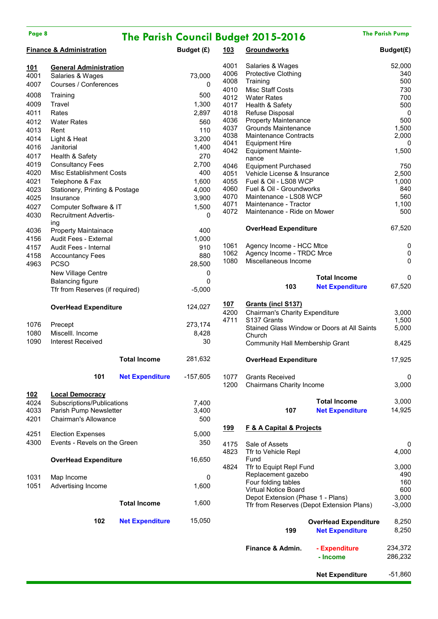| Page 8       |                                              |                        |                  |              | <b>The Parish Council Budget 2015-2016</b>                  |                                             | <b>The Parish Pump</b> |
|--------------|----------------------------------------------|------------------------|------------------|--------------|-------------------------------------------------------------|---------------------------------------------|------------------------|
|              | <b>Finance &amp; Administration</b>          |                        | Budget (£)       | 103          | <b>Groundworks</b>                                          |                                             | Budget(£)              |
| 101          | <b>General Administration</b>                |                        |                  | 4001         | Salaries & Wages                                            |                                             | 52,000                 |
| 4001         | Salaries & Wages                             |                        | 73,000           | 4006         | <b>Protective Clothing</b>                                  |                                             | 340                    |
| 4007         | Courses / Conferences                        |                        | 0                | 4008         | Training                                                    |                                             | 500                    |
| 4008         | Training                                     |                        | 500              | 4010         | Misc Staff Costs                                            |                                             | 730                    |
| 4009         | Travel                                       |                        | 1,300            | 4012<br>4017 | <b>Water Rates</b><br>Health & Safety                       |                                             | 700<br>500             |
| 4011         | Rates                                        |                        | 2,897            | 4018         | Refuse Disposal                                             |                                             | $\pmb{0}$              |
| 4012         | <b>Water Rates</b>                           |                        | 560              | 4036         | <b>Property Maintenance</b>                                 |                                             | 500                    |
| 4013         | Rent                                         |                        | 110              | 4037         | Grounds Maintenance                                         |                                             | 1,500                  |
| 4014         | Light & Heat                                 |                        | 3,200            | 4038         | <b>Maintenance Contracts</b>                                |                                             | 2,000                  |
| 4016         | Janitorial                                   |                        | 1,400            | 4041         | <b>Equipment Hire</b>                                       |                                             | 0                      |
| 4017         | Health & Safety                              |                        | 270              | 4042         | <b>Equipment Mainte-</b>                                    |                                             | 1,500                  |
| 4019         | <b>Consultancy Fees</b>                      |                        | 2,700            | 4046         | nance<br><b>Equipment Purchased</b>                         |                                             | 750                    |
| 4020         | Misc Establishment Costs                     |                        | 400              | 4051         | Vehicle License & Insurance                                 |                                             | 2,500                  |
| 4021         | Telephone & Fax                              |                        | 1,600            | 4055         | Fuel & Oil - LS08 WCP                                       |                                             | 1,000                  |
| 4023         | Stationery, Printing & Postage               |                        | 4,000            | 4060         | Fuel & Oil - Groundworks                                    |                                             | 840                    |
| 4025         | Insurance                                    |                        | 3,900            | 4070         | Maintenance - LS08 WCP                                      |                                             | 560                    |
| 4027         | Computer Software & IT                       |                        | 1,500            | 4071         | Maintenance - Tractor                                       |                                             | 1,100                  |
| 4030         | <b>Recruitment Advertis-</b>                 |                        | 0                | 4072         | Maintenance - Ride on Mower                                 |                                             | 500                    |
|              | ing                                          |                        |                  |              |                                                             |                                             |                        |
| 4036         | <b>Property Maintainace</b>                  |                        | 400              |              | <b>OverHead Expenditure</b>                                 |                                             | 67,520                 |
| 4156         | Audit Fees - External                        |                        | 1,000            |              |                                                             |                                             |                        |
| 4157         | Audit Fees - Internal                        |                        | 910              | 1061         | Agency Income - HCC Mtce                                    |                                             | 0                      |
| 4158         | <b>Accountancy Fees</b>                      |                        | 880              | 1062         | Agency Income - TRDC Mrce                                   |                                             | $\pmb{0}$              |
| 4963         | <b>PCSO</b>                                  |                        | 28,500           | 1080         | Miscellaneous Income                                        |                                             | 0                      |
|              | New Village Centre                           |                        | 0                |              |                                                             |                                             |                        |
|              | <b>Balancing figure</b>                      |                        | 0                |              |                                                             | <b>Total Income</b>                         | 0                      |
|              | Tfr from Reserves (if required)              |                        | $-5,000$         |              | 103                                                         | <b>Net Expenditure</b>                      | 67,520                 |
|              | <b>OverHead Expenditure</b>                  |                        | 124,027          | 107<br>4200  | Grants (incl S137)<br><b>Chairman's Charity Expenditure</b> |                                             | 3,000                  |
|              |                                              |                        |                  | 4711         | S137 Grants                                                 |                                             | 1,500                  |
| 1076         | Precept                                      |                        | 273,174<br>8,428 |              |                                                             | Stained Glass Window or Doors at All Saints | 5,000                  |
| 1080<br>1090 | Miscelll. Income<br><b>Interest Received</b> |                        | 30               |              | Church                                                      |                                             |                        |
|              |                                              |                        |                  |              | Community Hall Membership Grant                             |                                             | 8,425                  |
|              |                                              | <b>Total Income</b>    | 281,632          |              | <b>OverHead Expenditure</b>                                 |                                             | 17,925                 |
|              | 101                                          | <b>Net Expenditure</b> | $-157,605$       | 1077         | <b>Grants Received</b>                                      |                                             | 0                      |
|              |                                              |                        |                  | 1200         | Chairmans Charity Income                                    |                                             | 3,000                  |
| <u>102</u>   | <b>Local Democracy</b>                       |                        |                  |              |                                                             |                                             |                        |
| 4024         | Subscriptions/Publications                   |                        | 7,400            |              |                                                             | <b>Total Income</b>                         | 3,000                  |
| 4033         | Parish Pump Newsletter                       |                        | 3,400            |              | 107                                                         | <b>Net Expenditure</b>                      | 14,925                 |
| 4201         | Chairman's Allowance                         |                        | 500              |              |                                                             |                                             |                        |
| 4251         | <b>Election Expenses</b>                     |                        | 5,000            | <u>199</u>   | <b>F &amp; A Capital &amp; Projects</b>                     |                                             |                        |
| 4300         | Events - Revels on the Green                 |                        | 350              |              |                                                             |                                             |                        |
|              |                                              |                        |                  | 4175<br>4823 | Sale of Assets<br>Tfr to Vehicle Repl                       |                                             | 0<br>4,000             |
|              | <b>OverHead Expenditure</b>                  |                        | 16,650           |              | Fund                                                        |                                             |                        |
|              |                                              |                        |                  | 4824         | Tfr to Equipt Repl Fund                                     |                                             | 3,000                  |
| 1031         | Map Income                                   |                        | 0                |              | Replacement gazebo                                          |                                             | 490                    |
| 1051         | Advertising Income                           |                        | 1,600            |              | Four folding tables                                         |                                             | 160                    |
|              |                                              |                        |                  |              | Virtual Notice Board                                        |                                             | 600                    |
|              |                                              | <b>Total Income</b>    | 1,600            |              | Depot Extension (Phase 1 - Plans)                           |                                             | 3,000                  |
|              |                                              |                        |                  |              |                                                             | Tfr from Reserves (Depot Extension Plans)   | $-3,000$               |
|              | 102                                          | <b>Net Expenditure</b> | 15,050           |              |                                                             | <b>OverHead Expenditure</b>                 | 8,250                  |
|              |                                              |                        |                  |              | 199                                                         | <b>Net Expenditure</b>                      | 8,250                  |
|              |                                              |                        |                  |              |                                                             |                                             |                        |
|              |                                              |                        |                  |              | Finance & Admin.                                            | - Expenditure                               | 234,372                |
|              |                                              |                        |                  |              |                                                             | - Income                                    | 286,232                |

**Net Expenditure** -51,860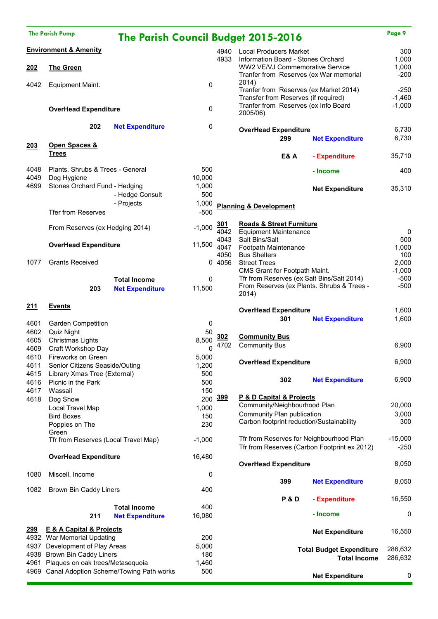|              | <b>The Parish Pump</b>                       |                        |            |              | <b>The Parish Council Budget 2015-2016</b>      |                                                        | Page 9         |
|--------------|----------------------------------------------|------------------------|------------|--------------|-------------------------------------------------|--------------------------------------------------------|----------------|
|              | <b>Environment &amp; Amenity</b>             |                        |            |              | 4940 Local Producers Market                     |                                                        | 300            |
|              |                                              |                        |            | 4933         | Information Board - Stones Orchard              |                                                        | 1,000          |
| 202          | The Green                                    |                        |            |              | WW2 VE/VJ Commemorative Service                 |                                                        | 1,000          |
|              |                                              |                        |            |              | Tranfer from Reserves (ex War memorial<br>2014) |                                                        | $-200$         |
| 4042         | <b>Equipment Maint.</b>                      |                        | 0          |              | Tranfer from Reserves (ex Market 2014)          |                                                        | $-250$         |
|              |                                              |                        |            |              | Transfer from Reserves (if required)            |                                                        | $-1,460$       |
|              | <b>OverHead Expenditure</b>                  |                        | 0          |              | Tranfer from Reserves (ex Info Board            |                                                        | $-1,000$       |
|              |                                              |                        |            |              | 2005/06)                                        |                                                        |                |
|              | 202                                          | <b>Net Expenditure</b> | 0          |              |                                                 |                                                        |                |
|              |                                              |                        |            |              | <b>OverHead Expenditure</b><br>299              |                                                        | 6,730<br>6,730 |
| 203          | Open Spaces &                                |                        |            |              |                                                 | <b>Net Expenditure</b>                                 |                |
|              | <b>Trees</b>                                 |                        |            |              | <b>E&amp;A</b>                                  | - Expenditure                                          | 35,710         |
|              |                                              |                        |            |              |                                                 |                                                        |                |
| 4048         | Plants. Shrubs & Trees - General             |                        | 500        |              |                                                 | - Income                                               | 400            |
| 4049         | Dog Hygiene                                  |                        | 10,000     |              |                                                 |                                                        |                |
| 4699         | Stones Orchard Fund - Hedging                |                        | 1,000      |              |                                                 | <b>Net Expenditure</b>                                 | 35,310         |
|              |                                              | - Hedge Consult        | 500        |              |                                                 |                                                        |                |
|              |                                              | - Projects             | 1,000      |              | <b>Planning &amp; Development</b>               |                                                        |                |
|              | <b>Tfer from Reserves</b>                    |                        | $-500$     |              |                                                 |                                                        |                |
|              | From Reserves (ex Hedging 2014)              |                        | $-1,000$   | 301          | <b>Roads &amp; Street Furniture</b>             |                                                        |                |
|              |                                              |                        |            | 4042         | <b>Equipment Maintenance</b>                    |                                                        | 0              |
|              | <b>OverHead Expenditure</b>                  |                        | 11,500     | 4043         | Salt Bins/Salt                                  |                                                        | 500            |
|              |                                              |                        |            | 4047<br>4050 | Footpath Maintenance<br><b>Bus Shelters</b>     |                                                        | 1,000<br>100   |
| 1077         | <b>Grants Received</b>                       |                        |            | 0 4056       | <b>Street Trees</b>                             |                                                        | 2,000          |
|              |                                              |                        |            |              | CMS Grant for Footpath Maint.                   |                                                        | $-1,000$       |
|              |                                              | <b>Total Income</b>    | 0          |              | Tfr from Reserves (ex Salt Bins/Salt 2014)      |                                                        | $-500$         |
|              | 203                                          | <b>Net Expenditure</b> | 11,500     |              | From Reserves (ex Plants. Shrubs & Trees -      |                                                        | $-500$         |
|              |                                              |                        |            |              | 2014)                                           |                                                        |                |
| 211          | <b>Events</b>                                |                        |            |              | <b>OverHead Expenditure</b>                     |                                                        | 1,600          |
|              |                                              |                        |            |              | 301                                             | <b>Net Expenditure</b>                                 | 1,600          |
| 4601         | <b>Garden Competition</b>                    |                        | 0          |              |                                                 |                                                        |                |
| 4602         | Quiz Night                                   |                        | 50         | 302          | <b>Community Bus</b>                            |                                                        |                |
| 4605<br>4609 | Christmas Lights<br>Craft Workshop Day       |                        | 8.500<br>0 | 4702         | <b>Community Bus</b>                            |                                                        | 6,900          |
| 4610         | Fireworks on Green                           |                        | 5,000      |              |                                                 |                                                        |                |
| 4611         | Senior Citizens Seaside/Outing               |                        | 1,200      |              | <b>OverHead Expenditure</b>                     |                                                        | 6,900          |
| 4615         | Library Xmas Tree (External)                 |                        | 500        |              |                                                 |                                                        |                |
| 4616         | Picnic in the Park                           |                        | 500        |              | 302                                             | <b>Net Expenditure</b>                                 | 6,900          |
| 4617         | Wassail                                      |                        | 150        |              |                                                 |                                                        |                |
| 4618         | Dog Show                                     |                        |            | 200 399      | P & D Capital & Projects                        |                                                        |                |
|              | Local Travel Map                             |                        | 1,000      |              | Community/Neighbourhood Plan                    |                                                        | 20,000         |
|              | <b>Bird Boxes</b>                            |                        | 150        |              | Community Plan publication                      |                                                        | 3,000          |
|              | Poppies on The                               |                        | 230        |              | Carbon footprint reduction/Sustainability       |                                                        | 300            |
|              | Green                                        |                        |            |              | Tfr from Reserves for Neighbourhood Plan        |                                                        | $-15,000$      |
|              | Tfr from Reserves (Local Travel Map)         |                        | $-1,000$   |              | Tfr from Reserves (Carbon Footprint ex 2012)    |                                                        | $-250$         |
|              | <b>OverHead Expenditure</b>                  |                        | 16,480     |              |                                                 |                                                        |                |
|              |                                              |                        |            |              | <b>OverHead Expenditure</b>                     |                                                        | 8,050          |
| 1080         | Miscell. Income                              |                        | 0          |              |                                                 |                                                        |                |
|              |                                              |                        |            |              | 399                                             | <b>Net Expenditure</b>                                 | 8,050          |
| 1082         | Brown Bin Caddy Liners                       |                        | 400        |              |                                                 |                                                        |                |
|              |                                              |                        |            |              | <b>P&amp;D</b>                                  | - Expenditure                                          | 16,550         |
|              |                                              | <b>Total Income</b>    | 400        |              |                                                 |                                                        |                |
|              | 211                                          | <b>Net Expenditure</b> | 16,080     |              |                                                 | - Income                                               | 0              |
| 299          | <b>E &amp; A Capital &amp; Projects</b>      |                        |            |              |                                                 |                                                        |                |
|              | 4932 War Memorial Updating                   |                        | 200        |              |                                                 | <b>Net Expenditure</b>                                 | 16,550         |
|              | 4937 Development of Play Areas               |                        | 5,000      |              |                                                 |                                                        | 286,632        |
|              | 4938 Brown Bin Caddy Liners                  |                        | 180        |              |                                                 | <b>Total Budget Expenditure</b><br><b>Total Income</b> | 286,632        |
|              | 4961 Plaques on oak trees/Metasequoia        |                        | 1,460      |              |                                                 |                                                        |                |
|              | 4969 Canal Adoption Scheme/Towing Path works |                        | 500        |              |                                                 | <b>Net Expenditure</b>                                 | 0              |
|              |                                              |                        |            |              |                                                 |                                                        |                |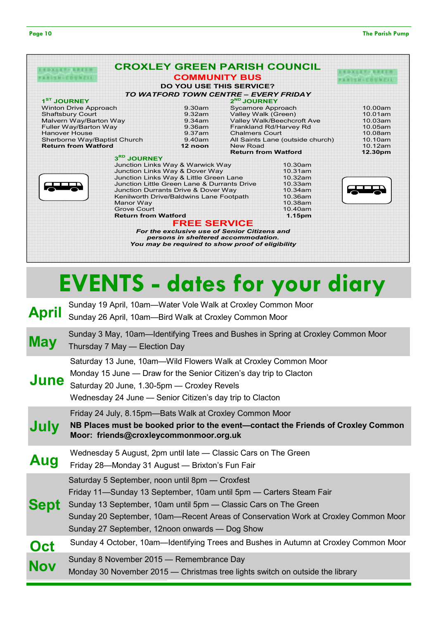|                              |                                 | <b>CROXLEY GREEN PARISH COUNCIL</b>   |                           |
|------------------------------|---------------------------------|---------------------------------------|---------------------------|
| FARISH-COUNTLE               | <b>COMMUNITY BUS</b>            |                                       | <b>FAMILY HOTELS WITH</b> |
|                              | <b>DO YOU USE THIS SERVICE?</b> |                                       |                           |
|                              |                                 | TO WATFORD TOWN CENTRE - EVERY FRIDAY |                           |
| 1 <sup>ST</sup> JOURNEY      |                                 | $2^{ND}$ JOURNEY                      |                           |
| <b>Winton Drive Approach</b> | 9.30am                          | Sycamore Approach                     | 10.00am                   |
| <b>Shaftsbury Court</b>      | 9.32am                          | Valley Walk (Green)                   | 10.01am                   |
| Malvern Way/Barton Way       | 9.34am                          | Valley Walk/Beechcroft Ave            | 10.03am                   |
| Fuller Way/Barton Way        | 9.36am                          | Frankland Rd/Harvey Rd                | 10.05am                   |
| <b>Hanover House</b>         | 9.37am                          | <b>Chalmers Court</b>                 | 10.08am                   |
| Sherborne Way/Baptist Church | 9.40am                          | All Saints Lane (outside church)      | 10.10am                   |
| <b>Return from Watford</b>   | 12 noon                         | New Road                              | 10.12am                   |
|                              |                                 | <b>Return from Watford</b>            | 12.30nm                   |



| Shaftsbury Court             | 9.32am                                 |                                                  | valley walk (Green)        |                                  | 10.01am |
|------------------------------|----------------------------------------|--------------------------------------------------|----------------------------|----------------------------------|---------|
| Malvern Way/Barton Way       |                                        | 9.34am                                           | Valley Walk/Beechcroft Ave |                                  | 10.03am |
| Fuller Way/Barton Way        |                                        | 9.36am                                           |                            | Frankland Rd/Harvey Rd           | 10.05am |
| <b>Hanover House</b>         |                                        | 9.37am                                           | <b>Chalmers Court</b>      |                                  | 10.08am |
| Sherborne Way/Baptist Church |                                        | 9.40am                                           |                            | All Saints Lane (outside church) | 10.10am |
| <b>Return from Watford</b>   |                                        | 12 noon                                          | New Road                   |                                  | 10.12am |
|                              |                                        |                                                  |                            | <b>Return from Watford</b>       | 12.30pm |
|                              | 3RD JOURNEY                            |                                                  |                            |                                  |         |
|                              |                                        | Junction Links Way & Warwick Way                 |                            | $10.30$ am                       |         |
|                              |                                        | Junction Links Way & Dover Way                   |                            | 10.31am                          |         |
|                              | Junction Links Way & Little Green Lane |                                                  | 10.32am                    |                                  |         |
|                              |                                        | Junction Little Green Lane & Durrants Drive      |                            | 10.33am                          |         |
|                              |                                        | Junction Durrants Drive & Dover Way              |                            | 10.34am                          |         |
|                              |                                        | Kenilworth Drive/Baldwins Lane Footpath          |                            | 10.36am                          |         |
|                              | Manor Way                              |                                                  |                            | 10.38am                          |         |
|                              | <b>Grove Court</b>                     |                                                  |                            | 10.40am                          |         |
|                              | <b>Return from Watford</b>             |                                                  |                            | 1.15pm                           |         |
|                              |                                        | <b>FREE SERVICE</b>                              |                            |                                  |         |
|                              |                                        | For the exclusive use of Senior Citizens and     |                            |                                  |         |
|                              |                                        | persons in sheltered accommodation.              |                            |                                  |         |
|                              |                                        | You may be required to show proof of eligibility |                            |                                  |         |
|                              |                                        |                                                  |                            |                                  |         |

# **EVENTS - dates for your diary**

| <b>April</b> | Sunday 19 April, 10am—Water Vole Walk at Croxley Common Moor<br>Sunday 26 April, 10am-Bird Walk at Croxley Common Moor                                                                                                                                                                                                           |
|--------------|----------------------------------------------------------------------------------------------------------------------------------------------------------------------------------------------------------------------------------------------------------------------------------------------------------------------------------|
| <b>May</b>   | Sunday 3 May, 10am—Identifying Trees and Bushes in Spring at Croxley Common Moor<br>Thursday 7 May - Election Day                                                                                                                                                                                                                |
| <b>June</b>  | Saturday 13 June, 10am-Wild Flowers Walk at Croxley Common Moor<br>Monday 15 June — Draw for the Senior Citizen's day trip to Clacton<br>Saturday 20 June, 1.30-5pm - Croxley Revels<br>Wednesday 24 June - Senior Citizen's day trip to Clacton                                                                                 |
| July         | Friday 24 July, 8.15pm-Bats Walk at Croxley Common Moor<br>NB Places must be booked prior to the event-contact the Friends of Croxley Common<br>Moor: friends@croxleycommonmoor.org.uk                                                                                                                                           |
| Aug          | Wednesday 5 August, 2pm until late - Classic Cars on The Green<br>Friday 28—Monday 31 August — Brixton's Fun Fair                                                                                                                                                                                                                |
| <b>Sept</b>  | Saturday 5 September, noon until 8pm - Croxfest<br>Friday 11—Sunday 13 September, 10am until 5pm — Carters Steam Fair<br>Sunday 13 September, 10am until 5pm - Classic Cars on The Green<br>Sunday 20 September, 10am-Recent Areas of Conservation Work at Croxley Common Moor<br>Sunday 27 September, 12noon onwards — Dog Show |
| Oct          | Sunday 4 October, 10am—Identifying Trees and Bushes in Autumn at Croxley Common Moor                                                                                                                                                                                                                                             |
| <b>Nov</b>   | Sunday 8 November 2015 - Remembrance Day<br>Monday 30 November 2015 — Christmas tree lights switch on outside the library                                                                                                                                                                                                        |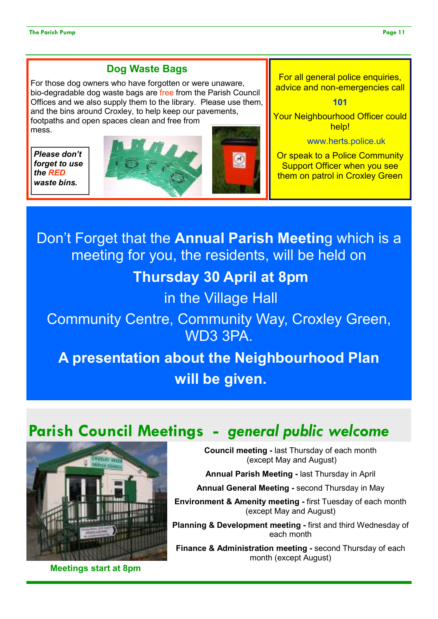### **Dog Waste Bags**

For those dog owners who have forgotten or were unaware, bio-degradable dog waste bags are free from the Parish Council Offices and we also supply them to the library. Please use them, and the bins around Croxley, to help keep our pavements, footpaths and open spaces clean and free from mess.

*Please don't forget to use the RED waste bins.* 





For all general police enquiries, advice and non-emergencies call

**101** 

Your Neighbourhood Officer could help!

www.herts.police.uk

Or speak to a Police Community Support Officer when you see them on patrol in Croxley Green

Don't Forget that the **Annual Parish Meetin**g which is a meeting for you, the residents, will be held on **Thursday 30 April at 8pm**  in the Village Hall Community Centre, Community Way, Croxley Green, WD3 3PA. **A presentation about the Neighbourhood Plan will be given.**

# **Parish Council Meetings -** *general public welcome*



**Meetings start at 8pm** 

**Council meeting -** last Thursday of each month (except May and August)

**Annual Parish Meeting -** last Thursday in April

**Annual General Meeting -** second Thursday in May

**Environment & Amenity meeting -** first Tuesday of each month (except May and August)

**Planning & Development meeting -** first and third Wednesday of each month

**Finance & Administration meeting -** second Thursday of each month (except August)